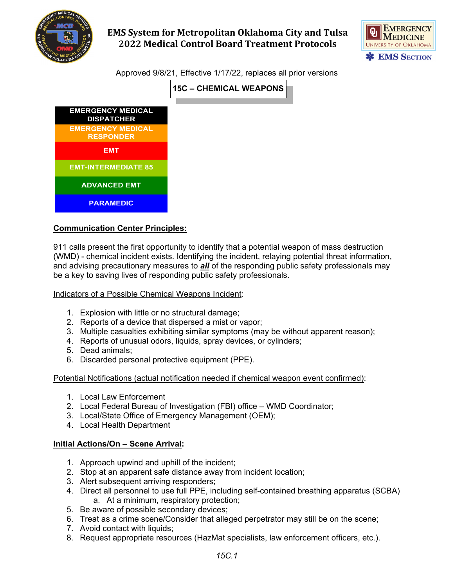



Approved 9/8/21, Effective 1/17/22, replaces all prior versions

**15C – CHEMICAL WEAPONS**



#### **Communication Center Principles:**

911 calls present the first opportunity to identify that a potential weapon of mass destruction (WMD) - chemical incident exists. Identifying the incident, relaying potential threat information, and advising precautionary measures to *all* of the responding public safety professionals may be a key to saving lives of responding public safety professionals.

#### Indicators of a Possible Chemical Weapons Incident:

- 1. Explosion with little or no structural damage;
- 2. Reports of a device that dispersed a mist or vapor;
- 3. Multiple casualties exhibiting similar symptoms (may be without apparent reason);
- 4. Reports of unusual odors, liquids, spray devices, or cylinders;
- 5. Dead animals;
- 6. Discarded personal protective equipment (PPE).

Potential Notifications (actual notification needed if chemical weapon event confirmed):

- 1. Local Law Enforcement
- 2. Local Federal Bureau of Investigation (FBI) office WMD Coordinator;
- 3. Local/State Office of Emergency Management (OEM);
- 4. Local Health Department

#### **Initial Actions/On – Scene Arrival:**

- 1. Approach upwind and uphill of the incident;
- 2. Stop at an apparent safe distance away from incident location;
- 3. Alert subsequent arriving responders;
- 4. Direct all personnel to use full PPE, including self-contained breathing apparatus (SCBA) a. At a minimum, respiratory protection;
- 5. Be aware of possible secondary devices;
- 6. Treat as a crime scene/Consider that alleged perpetrator may still be on the scene;
- 7. Avoid contact with liquids;
- 8. Request appropriate resources (HazMat specialists, law enforcement officers, etc.).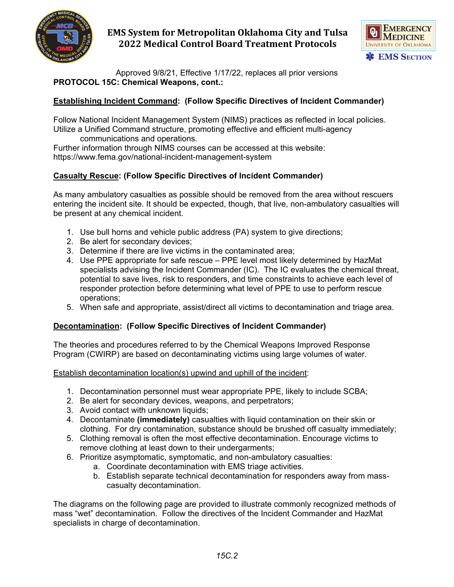



Approved 9/8/21, Effective 1/17/22, replaces all prior versions **PROTOCOL 15C: Chemical Weapons, cont.:**

### **Establishing Incident Command: (Follow Specific Directives of Incident Commander)**

Follow National Incident Management System (NIMS) practices as reflected in local policies. Utilize a Unified Command structure, promoting effective and efficient multi-agency

communications and operations.

Further information through NIMS courses can be accessed at this website: https://www.fema.gov/national-incident-management-system

### **Casualty Rescue: (Follow Specific Directives of Incident Commander)**

As many ambulatory casualties as possible should be removed from the area without rescuers entering the incident site. It should be expected, though, that live, non-ambulatory casualties will be present at any chemical incident.

- 1. Use bull horns and vehicle public address (PA) system to give directions;
- 2. Be alert for secondary devices;
- 3. Determine if there are live victims in the contaminated area;
- 4. Use PPE appropriate for safe rescue PPE level most likely determined by HazMat specialists advising the Incident Commander (IC). The IC evaluates the chemical threat, potential to save lives, risk to responders, and time constraints to achieve each level of responder protection before determining what level of PPE to use to perform rescue operations;
- 5. When safe and appropriate, assist/direct all victims to decontamination and triage area.

### **Decontamination: (Follow Specific Directives of Incident Commander)**

The theories and procedures referred to by the Chemical Weapons Improved Response Program (CWIRP) are based on decontaminating victims using large volumes of water.

Establish decontamination location(s) upwind and uphill of the incident:

- 1. Decontamination personnel must wear appropriate PPE, likely to include SCBA;
- 2. Be alert for secondary devices, weapons, and perpetrators;
- 3. Avoid contact with unknown liquids;
- 4. Decontaminate **(immediately)** casualties with liquid contamination on their skin or clothing. For dry contamination, substance should be brushed off casualty immediately;
- 5. Clothing removal is often the most effective decontamination. Encourage victims to remove clothing at least down to their undergarments;
- 6. Prioritize asymptomatic, symptomatic, and non-ambulatory casualties:
	- a. Coordinate decontamination with EMS triage activities.
	- b. Establish separate technical decontamination for responders away from masscasualty decontamination.

The diagrams on the following page are provided to illustrate commonly recognized methods of mass "wet" decontamination. Follow the directives of the Incident Commander and HazMat specialists in charge of decontamination.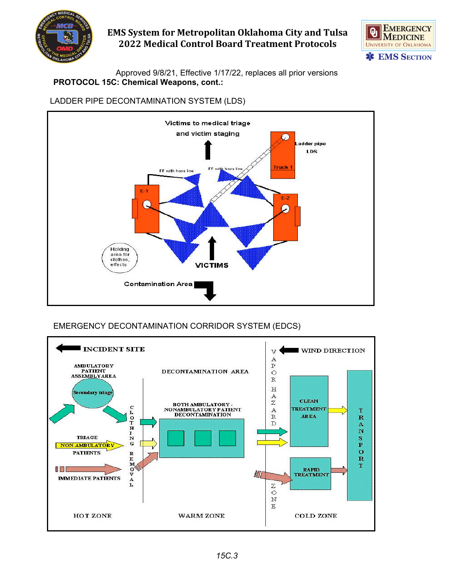



Approved 9/8/21, Effective 1/17/22, replaces all prior versions **PROTOCOL 15C: Chemical Weapons, cont.:**

## LADDER PIPE DECONTAMINATION SYSTEM (LDS)



# EMERGENCY DECONTAMINATION CORRIDOR SYSTEM (EDCS)